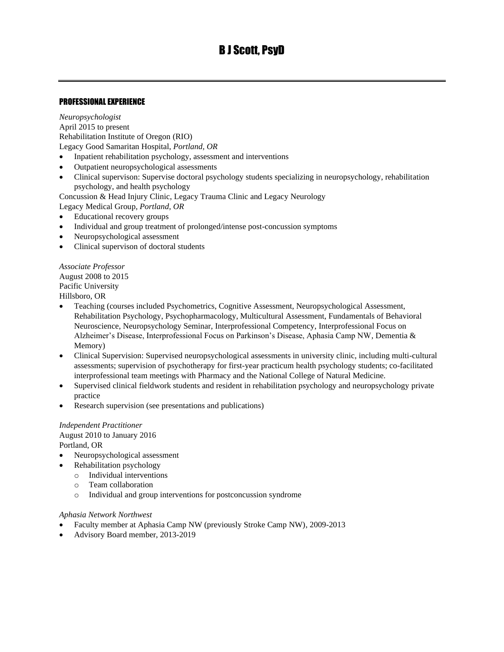# PROFESSIONAL EXPERIENCE

*Neuropsychologist* April 2015 to present Rehabilitation Institute of Oregon (RIO) Legacy Good Samaritan Hospital, *Portland, OR*

- Inpatient rehabilitation psychology, assessment and interventions
- Outpatient neuropsychological assessments
- Clinical supervison: Supervise doctoral psychology students specializing in neuropsychology, rehabilitation psychology, and health psychology

Concussion & Head Injury Clinic, Legacy Trauma Clinic and Legacy Neurology

Legacy Medical Group, *Portland, OR*

- Educational recovery groups
- Individual and group treatment of prolonged/intense post-concussion symptoms
- Neuropsychological assessment
- Clinical supervison of doctoral students

*Associate Professor* August 2008 to 2015 Pacific University Hillsboro, OR

- Teaching (courses included Psychometrics, Cognitive Assessment, Neuropsychological Assessment, Rehabilitation Psychology, Psychopharmacology, Multicultural Assessment, Fundamentals of Behavioral Neuroscience, Neuropsychology Seminar, Interprofessional Competency, Interprofessional Focus on Alzheimer's Disease, Interprofessional Focus on Parkinson's Disease, Aphasia Camp NW, Dementia & Memory)
- Clinical Supervision: Supervised neuropsychological assessments in university clinic, including multi-cultural assessments; supervision of psychotherapy for first-year practicum health psychology students; co-facilitated interprofessional team meetings with Pharmacy and the National College of Natural Medicine.
- Supervised clinical fieldwork students and resident in rehabilitation psychology and neuropsychology private practice
- Research supervision (see presentations and publications)

### *Independent Practitioner* August 2010 to January 2016 Portland, OR

- Neuropsychological assessment
- Rehabilitation psychology
	- o Individual interventions
	- o Team collaboration
	- o Individual and group interventions for postconcussion syndrome

#### *Aphasia Network Northwest*

- Faculty member at Aphasia Camp NW (previously Stroke Camp NW), 2009-2013
- Advisory Board member, 2013-2019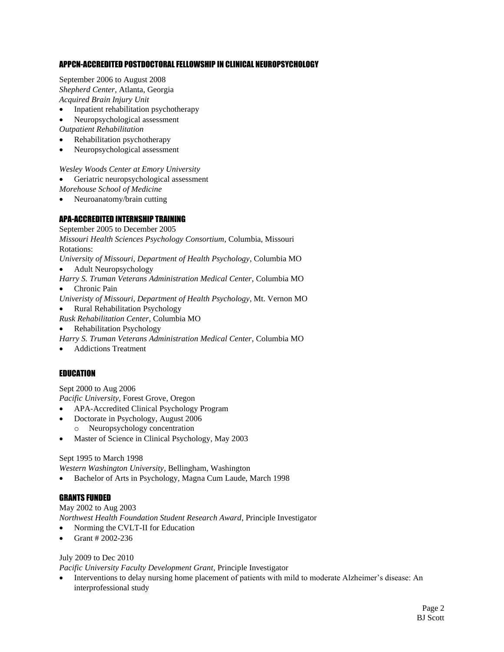### APPCN-ACCREDITED POSTDOCTORAL FELLOWSHIP IN CLINICAL NEUROPSYCHOLOGY

September 2006 to August 2008 *Shepherd Center,* Atlanta, Georgia *Acquired Brain Injury Unit*

- Inpatient rehabilitation psychotherapy
- Neuropsychological assessment

*Outpatient Rehabilitation*

- Rehabilitation psychotherapy
- Neuropsychological assessment

*Wesley Woods Center at Emory University*

- Geriatric neuropsychological assessment
- *Morehouse School of Medicine*
- Neuroanatomy/brain cutting

# APA-ACCREDITED INTERNSHIP TRAINING

September 2005 to December 2005 *Missouri Health Sciences Psychology Consortium*, Columbia, Missouri Rotations: *University of Missouri, Department of Health Psychology*, Columbia MO • Adult Neuropsychology *Harry S. Truman Veterans Administration Medical Center*, Columbia MO

- Chronic Pain
- *Univeristy of Missouri, Department of Health Psychology*, Mt. Vernon MO
- Rural Rehabilitation Psychology
- *Rusk Rehabilitation Center*, Columbia MO
- Rehabilitation Psychology
- *Harry S. Truman Veterans Administration Medical Center*, Columbia MO
- Addictions Treatment

# **EDUCATION**

Sept 2000 to Aug 2006 *Pacific University*, Forest Grove, Oregon

- APA-Accredited Clinical Psychology Program
- Doctorate in Psychology, August 2006
- o Neuropsychology concentration
- Master of Science in Clinical Psychology, May 2003

#### Sept 1995 to March 1998

*Western Washington University*, Bellingham, Washington

• Bachelor of Arts in Psychology, Magna Cum Laude, March 1998

# GRANTS FUNDED

May 2002 to Aug 2003 *Northwest Health Foundation Student Research Award*, Principle Investigator

- Norming the CVLT-II for Education
- Grant # 2002-236

# July 2009 to Dec 2010

*Pacific University Faculty Development Grant*, Principle Investigator

• Interventions to delay nursing home placement of patients with mild to moderate Alzheimer's disease: An interprofessional study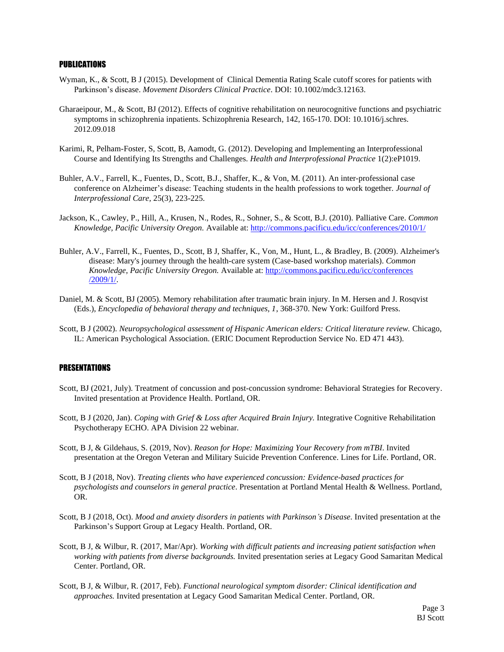#### PUBLICATIONS

- Wyman, K., & Scott, B J (2015). Development of Clinical Dementia Rating Scale cutoff scores for patients with Parkinson's disease. *Movement Disorders Clinical Practice*. DOI: 10.1002/mdc3.12163.
- Gharaeipour, M., & Scott, BJ (2012). Effects of cognitive rehabilitation on neurocognitive functions and psychiatric symptoms in schizophrenia inpatients. Schizophrenia Research, 142, 165-170. DOI: 10.1016/j.schres. 2012.09.018
- Karimi, R, Pelham-Foster, S, Scott, B, Aamodt, G. (2012). Developing and Implementing an Interprofessional Course and Identifying Its Strengths and Challenges. *Health and Interprofessional Practice* 1(2):eP1019.
- Buhler, A.V., Farrell, K., Fuentes, D., Scott, B.J., Shaffer, K., & Von, M. (2011). An inter-professional case conference on Alzheimer's disease: Teaching students in the health professions to work together*. Journal of Interprofessional Care,* 25(3), 223-225.
- Jackson, K., Cawley, P., Hill, A., Krusen, N., Rodes, R., Sohner, S., & Scott, B.J. (2010). Palliative Care. *Common Knowledge, Pacific University Oregon.* Available at[: http://commons.pacificu.edu/icc/conferences/2010/1/](http://commons.pacificu.edu/icc/conferences/2010/1/)
- Buhler, A.V., Farrell, K., Fuentes, D., Scott, B J, Shaffer, K., Von, M., Hunt, L., & Bradley, B. (2009). Alzheimer's disease: Mary's journey through the health-care system (Case-based workshop materials). *Common Knowledge, Pacific University Oregon.* Available at[: http://commons.pacificu.edu/icc/conferences](http://commons.pacificu.edu/icc/conferences%20/2009/1/)  [/2009/1/.](http://commons.pacificu.edu/icc/conferences%20/2009/1/)
- Daniel, M. & Scott, BJ (2005). Memory rehabilitation after traumatic brain injury. In M. Hersen and J. Rosqvist (Eds.), *Encyclopedia of behavioral therapy and techniques, 1*, 368-370. New York: Guilford Press.
- Scott, B J (2002). *Neuropsychological assessment of Hispanic American elders: Critical literature review.* Chicago, IL: American Psychological Association. (ERIC Document Reproduction Service No. ED 471 443).

#### **PRESENTATIONS**

- Scott, BJ (2021, July). Treatment of concussion and post-concussion syndrome: Behavioral Strategies for Recovery. Invited presentation at Providence Health. Portland, OR.
- Scott, B J (2020, Jan). *Coping with Grief & Loss after Acquired Brain Injury.* Integrative Cognitive Rehabilitation Psychotherapy ECHO. APA Division 22 webinar.
- Scott, B J, & Gildehaus, S. (2019, Nov). *Reason for Hope: Maximizing Your Recovery from mTBI*. Invited presentation at the Oregon Veteran and Military Suicide Prevention Conference. Lines for Life. Portland, OR.
- Scott, B J (2018, Nov). *Treating clients who have experienced concussion: Evidence-based practices for psychologists and counselors in general practice*. Presentation at Portland Mental Health & Wellness. Portland, OR.
- Scott, B J (2018, Oct). *Mood and anxiety disorders in patients with Parkinson's Disease*. Invited presentation at the Parkinson's Support Group at Legacy Health. Portland, OR.
- Scott, B J, & Wilbur, R. (2017, Mar/Apr). *Working with difficult patients and increasing patient satisfaction when working with patients from diverse backgrounds.* Invited presentation series at Legacy Good Samaritan Medical Center. Portland, OR.
- Scott, B J, & Wilbur, R. (2017, Feb). *Functional neurological symptom disorder: Clinical identification and approaches.* Invited presentation at Legacy Good Samaritan Medical Center. Portland, OR.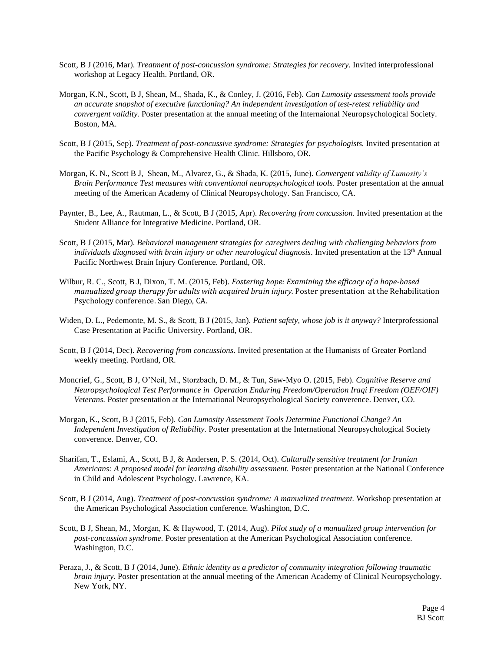- Scott, B J (2016, Mar). *Treatment of post-concussion syndrome: Strategies for recovery.* Invited interprofessional workshop at Legacy Health. Portland, OR.
- Morgan, K.N., Scott, B J, Shean, M., Shada, K., & Conley, J. (2016, Feb). *Can Lumosity assessment tools provide an accurate snapshot of executive functioning? An independent investigation of test-retest reliability and convergent validity.* Poster presentation at the annual meeting of the Internaional Neuropsychological Society. Boston, MA.
- Scott, B J (2015, Sep). *Treatment of post-concussive syndrome: Strategies for psychologists.* Invited presentation at the Pacific Psychology & Comprehensive Health Clinic. Hillsboro, OR.
- Morgan, K. N., Scott B J, Shean, M., Alvarez, G., & Shada, K. (2015, June). *Convergent validity of Lumosity's Brain Performance Test measures with conventional neuropsychological tools.* Poster presentation at the annual meeting of the American Academy of Clinical Neuropsychology. San Francisco, CA.
- Paynter, B., Lee, A., Rautman, L., & Scott, B J (2015, Apr). *Recovering from concussion.* Invited presentation at the Student Alliance for Integrative Medicine. Portland, OR.
- Scott, B J (2015, Mar). *Behavioral management strategies for caregivers dealing with challenging behaviors from individuals diagnosed with brain injury or other neurological diagnosis.* Invited presentation at the 13<sup>th</sup> Annual Pacific Northwest Brain Injury Conference. Portland, OR.
- Wilbur, R. C., Scott, B J, Dixon, T. M. (2015, Feb). *Fostering hope: Examining the efficacy of a hope-based manualized group therapy for adults with acquired brain injury.* Poster presentation at the Rehabilitation Psychology conference. San Diego, CA.
- Widen, D. L., Pedemonte, M. S., & Scott, B J (2015, Jan). *Patient safety, whose job is it anyway?* Interprofessional Case Presentation at Pacific University. Portland, OR.
- Scott, B J (2014, Dec). *Recovering from concussions*. Invited presentation at the Humanists of Greater Portland weekly meeting. Portland, OR.
- Moncrief, G., Scott, B J, O'Neil, M., Storzbach, D. M., & Tun, Saw-Myo O. (2015, Feb). *Cognitive Reserve and Neuropsychological Test Performance in Operation Enduring Freedom/Operation Iraqi Freedom (OEF/OIF) Veterans.* Poster presentation at the International Neuropsychological Society converence. Denver, CO.
- Morgan, K., Scott, B J (2015, Feb). *Can Lumosity Assessment Tools Determine Functional Change? An Independent Investigation of Reliability.* Poster presentation at the International Neuropsychological Society converence. Denver, CO.
- Sharifan, T., Eslami, A., Scott, B J, & Andersen, P. S. (2014, Oct). *Culturally sensitive treatment for Iranian Americans: A proposed model for learning disability assessment.* Poster presentation at the National Conference in Child and Adolescent Psychology. Lawrence, KA.
- Scott, B J (2014, Aug). *Treatment of post-concussion syndrome: A manualized treatment.* Workshop presentation at the American Psychological Association conference. Washington, D.C.
- Scott, B J, Shean, M., Morgan, K. & Haywood, T. (2014, Aug). *Pilot study of a manualized group intervention for post-concussion syndrome.* Poster presentation at the American Psychological Association conference. Washington, D.C.
- Peraza, J., & Scott, B J (2014, June). *Ethnic identity as a predictor of community integration following traumatic brain injury.* Poster presentation at the annual meeting of the American Academy of Clinical Neuropsychology. New York, NY.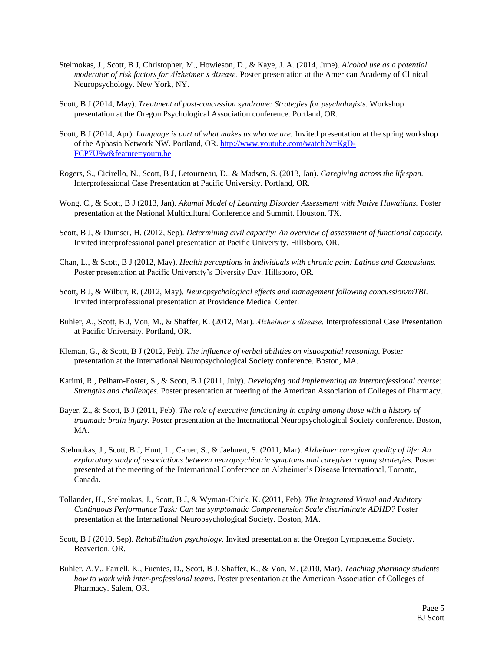- Stelmokas, J., Scott, B J, Christopher, M., Howieson, D., & Kaye, J. A. (2014, June). *Alcohol use as a potential moderator of risk factors for Alzheimer's disease.* Poster presentation at the American Academy of Clinical Neuropsychology. New York, NY.
- Scott, B J (2014, May). *Treatment of post-concussion syndrome: Strategies for psychologists.* Workshop presentation at the Oregon Psychological Association conference. Portland, OR.
- Scott, B J (2014, Apr). *Language is part of what makes us who we are.* Invited presentation at the spring workshop of the Aphasia Network NW. Portland, OR. [http://www.youtube.com/watch?v=KgD-](http://www.youtube.com/watch?v=KgD-FCP7U9w&feature=youtu.be)[FCP7U9w&feature=youtu.be](http://www.youtube.com/watch?v=KgD-FCP7U9w&feature=youtu.be)
- Rogers, S., Cicirello, N., Scott, B J, Letourneau, D., & Madsen, S. (2013, Jan). *Caregiving across the lifespan.* Interprofessional Case Presentation at Pacific University. Portland, OR.
- Wong, C., & Scott, B J (2013, Jan). *Akamai Model of Learning Disorder Assessment with Native Hawaiians.* Poster presentation at the National Multicultural Conference and Summit. Houston, TX.
- Scott, B J, & Dumser, H. (2012, Sep). *Determining civil capacity: An overview of assessment of functional capacity.* Invited interprofessional panel presentation at Pacific University. Hillsboro, OR.
- Chan, L., & Scott, B J (2012, May). *Health perceptions in individuals with chronic pain: Latinos and Caucasians.* Poster presentation at Pacific University's Diversity Day. Hillsboro, OR.
- Scott, B J, & Wilbur, R. (2012, May). *Neuropsychological effects and management following concussion/mTBI.*  Invited interprofessional presentation at Providence Medical Center.
- Buhler, A., Scott, B J, Von, M., & Shaffer, K. (2012, Mar). *Alzheimer's disease*. Interprofessional Case Presentation at Pacific University. Portland, OR.
- Kleman, G., & Scott, B J (2012, Feb). *The influence of verbal abilities on visuospatial reasoning.* Poster presentation at the International Neuropsychological Society conference. Boston, MA.
- Karimi, R., Pelham-Foster, S., & Scott, B J (2011, July). *Developing and implementing an interprofessional course: Strengths and challenges*. Poster presentation at meeting of the American Association of Colleges of Pharmacy.
- Bayer, Z., & Scott, B J (2011, Feb). *The role of executive functioning in coping among those with a history of traumatic brain injury.* Poster presentation at the International Neuropsychological Society conference. Boston, MA.
- Stelmokas, J., Scott, B J, Hunt, L., Carter, S., & Jaehnert, S. (2011, Mar). *Alzheimer caregiver quality of life: An exploratory study of associations between neuropsychiatric symptoms and caregiver coping strategies.* Poster presented at the meeting of the International Conference on Alzheimer's Disease International, Toronto, Canada.
- Tollander, H., Stelmokas, J., Scott, B J, & Wyman-Chick, K. (2011, Feb). *The Integrated Visual and Auditory Continuous Performance Task: Can the symptomatic Comprehension Scale discriminate ADHD?* Poster presentation at the International Neuropsychological Society. Boston, MA.
- Scott, B J (2010, Sep). *Rehabilitation psychology*. Invited presentation at the Oregon Lymphedema Society. Beaverton, OR.
- Buhler, A.V., Farrell, K., Fuentes, D., Scott, B J, Shaffer, K., & Von, M. (2010, Mar). *Teaching pharmacy students how to work with inter-professional teams*. Poster presentation at the American Association of Colleges of Pharmacy. Salem, OR.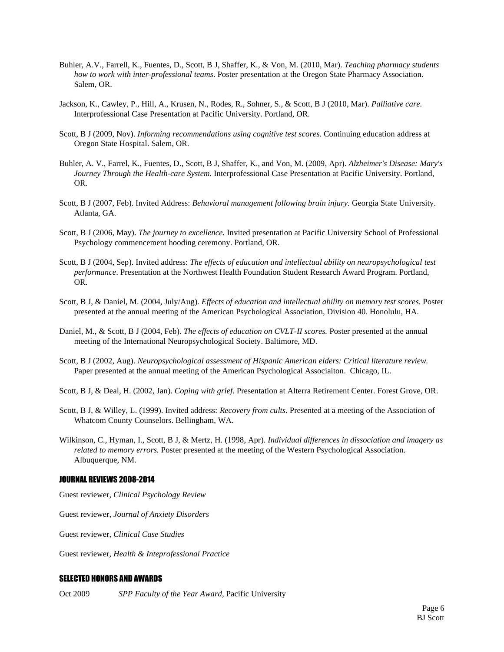- Buhler, A.V., Farrell, K., Fuentes, D., Scott, B J, Shaffer, K., & Von, M. (2010, Mar). *Teaching pharmacy students how to work with inter-professional teams*. Poster presentation at the Oregon State Pharmacy Association. Salem, OR.
- Jackson, K., Cawley, P., Hill, A., Krusen, N., Rodes, R., Sohner, S., & Scott, B J (2010, Mar). *Palliative care.*  Interprofessional Case Presentation at Pacific University. Portland, OR.
- Scott, B J (2009, Nov). *Informing recommendations using cognitive test scores.* Continuing education address at Oregon State Hospital. Salem, OR.
- Buhler, A. V., Farrel, K., Fuentes, D., Scott, B J, Shaffer, K., and Von, M. (2009, Apr). *Alzheimer's Disease: Mary's Journey Through the Health-care System.* Interprofessional Case Presentation at Pacific University. Portland, OR.
- Scott, B J (2007, Feb). Invited Address: *Behavioral management following brain injury.* Georgia State University. Atlanta, GA.
- Scott, B J (2006, May). *The journey to excellence.* Invited presentation at Pacific University School of Professional Psychology commencement hooding ceremony. Portland, OR.
- Scott, B J (2004, Sep). Invited address: *The effects of education and intellectual ability on neuropsychological test performance*. Presentation at the Northwest Health Foundation Student Research Award Program. Portland, OR.
- Scott, B J, & Daniel, M. (2004, July/Aug). *Effects of education and intellectual ability on memory test scores.* Poster presented at the annual meeting of the American Psychological Association, Division 40. Honolulu, HA.
- Daniel, M., & Scott, B J (2004, Feb). *The effects of education on CVLT-II scores.* Poster presented at the annual meeting of the International Neuropsychological Society. Baltimore, MD.
- Scott, B J (2002, Aug). *Neuropsychological assessment of Hispanic American elders: Critical literature review.*  Paper presented at the annual meeting of the American Psychological Associaiton. Chicago, IL.
- Scott, B J, & Deal, H. (2002, Jan). *Coping with grief*. Presentation at Alterra Retirement Center. Forest Grove, OR.
- Scott, B J, & Willey, L. (1999). Invited address: *Recovery from cults*. Presented at a meeting of the Association of Whatcom County Counselors. Bellingham, WA.
- Wilkinson, C., Hyman, I., Scott, B J, & Mertz, H. (1998, Apr). *Individual differences in dissociation and imagery as related to memory errors.* Poster presented at the meeting of the Western Psychological Association. Albuquerque, NM.

#### JOURNAL REVIEWS 2008-2014

Guest reviewer, *Clinical Psychology Review*

Guest reviewer, *Journal of Anxiety Disorders*

Guest reviewer, *Clinical Case Studies*

Guest reviewer, *Health & Inteprofessional Practice*

#### SELECTED HONORS AND AWARDS

Oct 2009 *SPP Faculty of the Year Award*, Pacific University